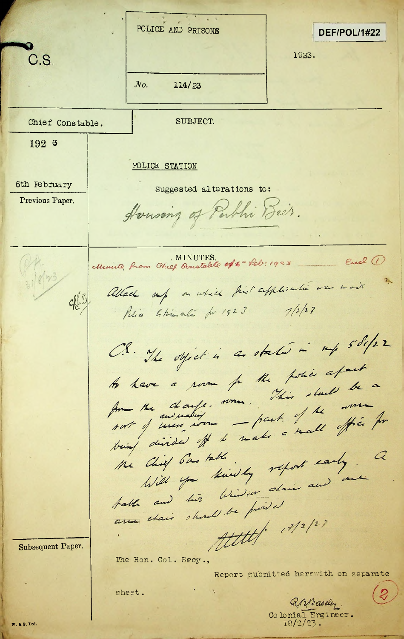POLICE AND PRISONS DEF/POL/1#22 C.S. 1923. *JVo.* **114/23** Chief Constable. SUBJECT. 192 3 POLICE STATION 6th February | Suggested alterations to: Previous Paper. *ceA , //* - End 1 MINUTES. eft - feb: 1923 OA. Allach up a which first application was made *4^* Petia Chinali for 1923 7/2/23 CS. The object is a state in my solifer to have a room for the police afait As have a pour fr the pour duel be a not y men nom - part. I ne effé for Chief 6m table.<br>Will you kindly report early. a the Chief 6 ms table Will you knowledge ofair and a pable and turn win pointed The Hon. Col. Secy., Subsequent Paper. Report submitted herewith on separate $\mathcal{Z}$ sheet. RABaseley.<br>Colonial Engineer.

18/2/2? .

I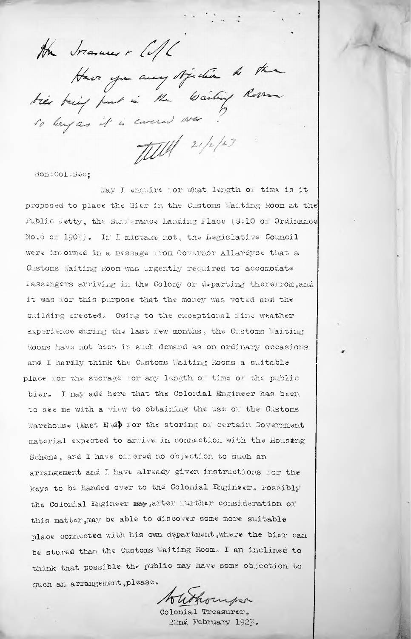the transver - CIL

Have yn any tjecher de the

TUM 21/2/23

X

Hon. Col: Sec:

May I enquire lor what length, oi' time is it proposed to place the Bier in the Customs Waiting Room at the Public Jetty, the Sunderance Landing Place (S.10 of Ordinance No.6 of  $190\frac{1}{2}$ . If I mistake not, the Legislative Council Customs Waiting Room was urgently required to accomodate Passengers arriving in the Colony or departing therefrom, and it was ior this purpose that the money was voted and the buiIding erected<sup>e</sup> Owing to the exceptional line weather experience during the last lew months, the Customs Uaiting Rooms have not been in such demand as on ordinary occasions and I hardly think the Customs Waiting Rooms a suitable place ior the storage for any length of time of the public bier. I may add here that the Colonial Engineer has been to see me with a view to obtaining the use <sup>01</sup>' the Customs material expected to arrive in connection with the Housing Scheme, and I have offered no objection to such an arrangement and I have already given instructions for the keys to be handed over to the Colonial Engineer. Possibly the Colonial Engineer may,alter further consideration of this matter, may be able to discover some more suitable place connected with his own department,where the bier can be stored than the Customs Waiting Room. I am inclined to think that possible the public may have some objection to such an arrangement, please. were inlormed in a message lrom Governor Allardyce that a Warehouse (East End) for the storing of certain Government

Hourper

Colonial Treasurer. 22nd February 1923.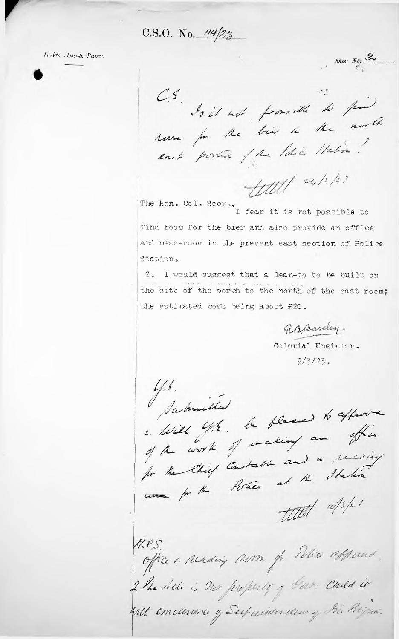C.S.O. No.  $14/23$ 

Inside Minute Paper.

Sheet No.  $\mathbb{Z}_{r}$ CE do it not paraithe to find Novemen for the bis is the morth east portion of the litre Habia!

 $Hull^{u/r}$ 

The Hon. Col. Secy., I fear it is not possible to find room for the bier and also provide an office and mess-room in the present east section of Police Station.

2. I would suggest that a lean-to to be built on the site of the porch to the north of the east room: the estimated cost being about £20.

RABaseley.

Colonial Engineer.  $9/3/23$ .

Y.S.<br>Jabrielles 2. Will G.E. be placed to approve of the work of waking an effice for the Chief Constable and a reading une for the Police at the Station titel w/s/2 " Hes.

office + reading nom for This affermed. 2 he die is no property g bar cared is With concurrence of Superintendence of Bir Brigan.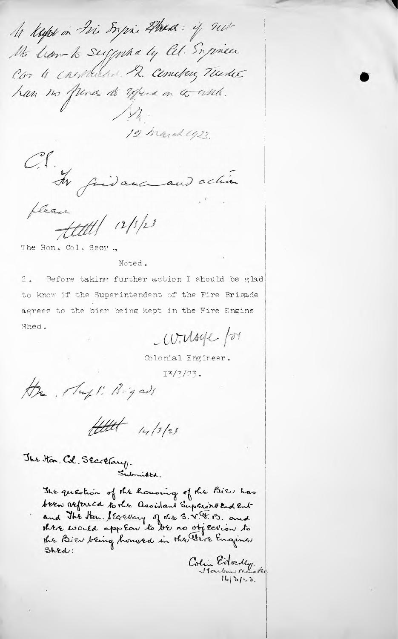to keeps in Fire Sorpri Ahea: if not the lian-to suggested by al. Suprices Car 4 construction . R. Cometary Tuester han no funes to Effend on the wild. 12 march 423.

OS. Av judance and chin fleau<br>Hettel 12/5/23

The Hon. Col. Secy.,

Noted.

Before taking further action I should be glad  $\sim$ . to know if the Superintendent of the Fire Brigade agrees to the bier being kept in the Fire Engine Shed.

 $W$ Moye /or

Colonial Engineer.

 $I^{7/7/23}$ .

the Mapli Bigads

tettet 14/3/23

The Hon. Col. Secretary. Submitted.

> The question of the housing of the Bien has been referred to the assistant Superint End Entand The Hon. Severary of the S.V. F. B. and<br>there would applow to be no objection to<br>the Bie being honord in the Sire Engines  $Shed:$

Colin Edvedly.<br>Starbournance te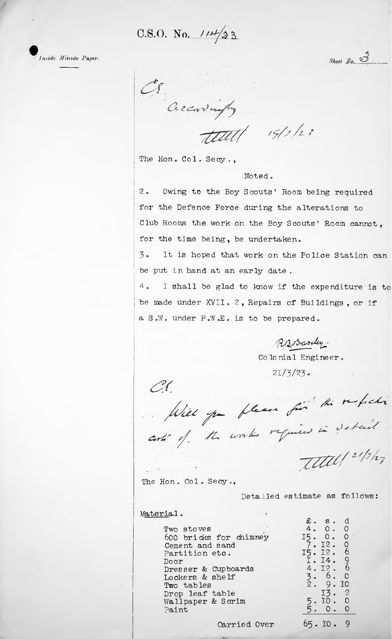C.S.O. No.  $114/23$ 

*Inside Minute Paper.*

*Sheet No.*  $\frac{3}{2}$ 

OS Creatingly  $t$ tett $t$  19/2/23

The Hon. Col. Secy.,

Noted.

Owing to the Boy Scouts' Room being required for the Defence Force during the alterations to Club Rooms the work on the Boy Scouts' Room cannot **<sup>9</sup>** for the time being, be undertaken. **2 \***

3« be put in hand at an early date. It is hoped that work on the Police Station can

4 <sup>I</sup> shall be glad to know if the expenditure is to be made under XVII. 2, Repairs of Buildings, or if a S.W. under P.W.E. is to be prepared.

RaBaseley. Colonial Engineer *\**

 $21/3/23$ .

 $C\bigg\{$ Miel par flean fin<sup>ski</sup> tri refection

The Hon. Col. Se<mark>cy.</mark>,

Detailed estimate as follows:

d  $\circ$  $\circ$  $\overline{c}$ 6 9 6

> 2  $\circ$  $\circ$

Material •

|                        | £.<br>$\mathbf{s}$ .   |
|------------------------|------------------------|
| Two stoves             | $\circ$ 0 $\circ$<br>Ω |
| 600 bricks for chimney | $0$ .<br>0<br>I5.      |
| Cement and sand        | 7.I2. 0                |
| Partition etc.         | 15. 12. 6              |
| Door                   | I.I4. 9                |
| Dresser & Cupboards    | 6<br>4.I2.             |
| Lockers & shelf        | 6.<br>$\circ$<br>3.    |
| Two tables             | 9<br>ΙO                |
| Drop leaf table        | 2<br>I3                |
| Wallpaper & Scrim      | C<br>IO.<br>5.         |
| Paint                  | C                      |
|                        |                        |
|                        |                        |

Carried Over  $65.10.9$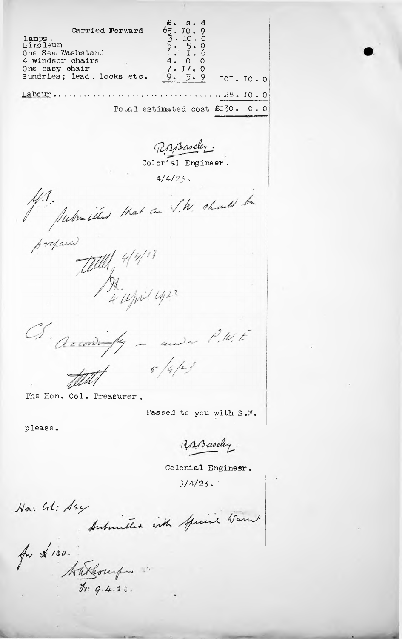£.  $s.d$  $653.$ 10.9<br>10.0<br>5.0<br>5.1 Carried Forward Lamps. Linoleum One Sea Washstand 4. 4 windsor chairs  $\mathsf O$  $\circ$  $\frac{17}{5}$ . One easy chair  $7.$  $\circ$ Sundries; lead, locks etc. 9. 9 IOI. IO. O  $Laborur \ldots \ldots \ldots \ldots$  $\ldots \ldots \ldots \ldots \ldots 28. I0.0$ Total estimated cost £I30. 0.0 RABaseley. Colonial Engineer.  $4/4/23$ . Mr. Medra illes that are S.W. should be prefairs Tell 4/4/23 Reconvergely - we P.W.E  $5/4/53$ The Hon. Col. Treasurer, Passed to you with S.W. please. RABaseley.

Colonial Engineer.

 $9/4/23$ .

No: Col: 1sy Antoniethed with Special Warnt.

for \$ 130. Anthonipes  $4.23.$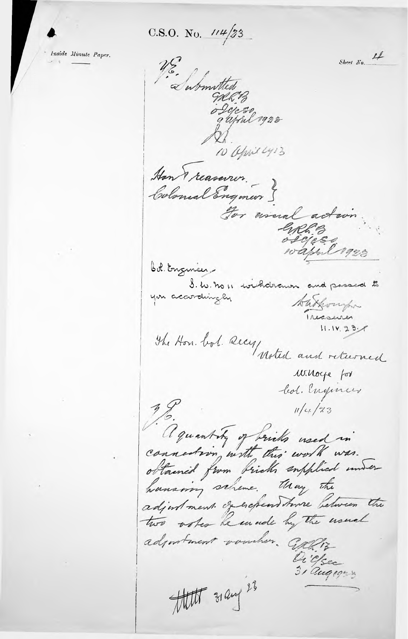C.S.O. No.  $114/33$ 

Inside Minute Paper.

Sheet No. 4 U.S. Submitted MRB o Dijeso<br>gafoul 1922 10 april 413 Han reasonor. Colonial Engineer S For wound action ERRE B bol. Engineer-S. W. no 11 wishdrawn and passed to you accordingly takompo The Hon. bol. secy woted and returned  $11.14.23 - 7$ winoye for led. Engineer  $\frac{1}{2}$  $11/4/73$ aguantity of bricks used in havering scheme. thay the adjustment of expenditure between the two other he enade by the usual adjustment voucher. Calliz Di C/sec  $3/\alpha$ uq 1923 that 31 any 23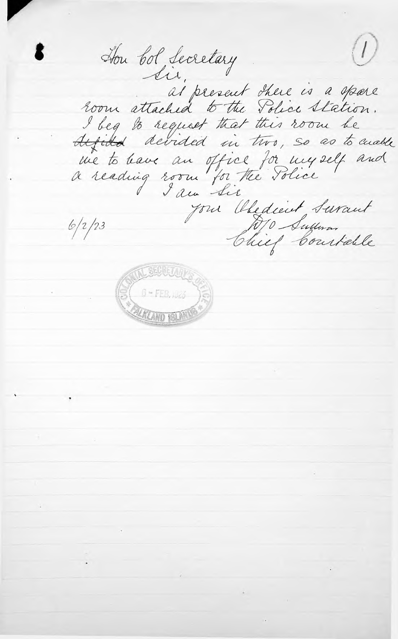$\left(\overline{U}\right)$ Hou bol Secretary room attached to the Police Station. I beg to request that this room be difited devided in two, so as to anable me to have an office for myself and<br>a reading room for the Police your Obedient Surant  $6/2/23$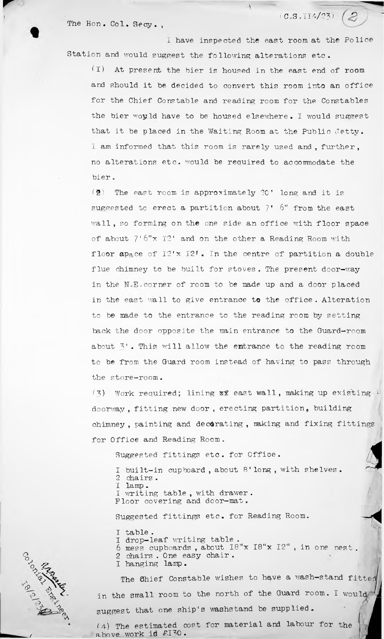The Hon. Col. Secy.,

 $(0.5.114/23)$   $(2)$ 

<sup>1</sup> have inspected the east room at the Police Station and would suggest the following alterations etc.

At present the bier is housed in the east end of room and should it be decided to convert this room into an office for the Chief Constable and reading room for the Constables the bier would have to be housed elsewhere. I would suggest that it be placed in the Waiting Room at the Public Jetty. I am informed that this room is rarely used and , further , no alterations etc. would be required to accommodate the bier .  $(T)$ 

 $(2)$  The east room is approximately 20' long and it is wall, so forming on the one side an office with floor space floor ap<sub>a</sub>,ce of  $I2' \times I2'$ . In the centre of partition a double flue chimney to be built for stoves. The present door-way in the N.E. corner of room to be made up and a door placed in the east wall to give entrance to the office. Alteration to be made to the entrance to the reading room by setting back the door opposite the main entrance to the Guard-room about 3'. This will allow the entrance to the reading room to be from the Guard room instead of having to pass through the store-room. of about 7'6"x 12' and on the other a Reading Room with suggested to erect a partition about  $7'$  6" from the east

(3) Work required; lining af east wall, making up existing  $\cup$ doorway, fitting new door, erecting partition, building chimney , painting and decorating , making and fixing fittings for Office and Reading Room.

Suggested fittings etc. for Office.

<sup>1</sup> built-in cupboard , about 8' long , with shelves. 2 chairs.<br>I lamp. I lamp . writing table, with drawer. Floor covering and door-mat.

Suggested fittings etc. for Reading Room.

I table . <sup>1</sup> drop-leaf writing table .

<sup>6</sup> mess cupboards , about I8"x I8"x 12" , in one nest . 2 chairs . One easy chair . I hanging lamp.

suggest that one ship's washstand be supplied . The Ohief Constable wishes to have a wash-stand *fitted* <sup>&</sup>lt; in the small room to the north of the Guard room. I would

(4) The estimated cost for material and labour for the above work id £I<sup>7</sup>0.

 $\mathfrak{F}$  $\omega_i$ A

/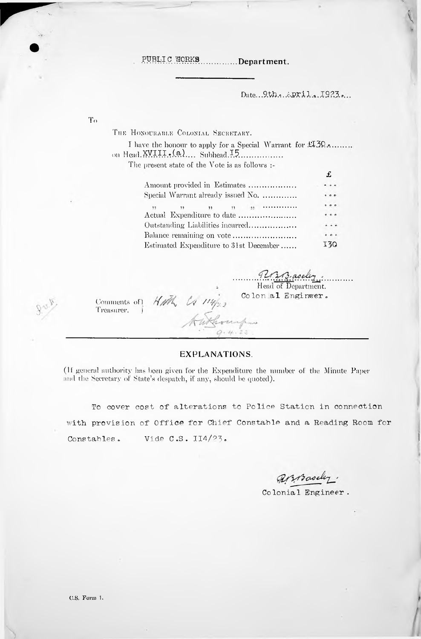PUBLIC WORKS ............Department.

Date... 9th. epril. 1923.

Head of Department. Colon al Enginwer.

 $\cdots$ 

130

THE HONOURABLE COLONIAL SECRETARY. I have the honour to apply for a Special Warrant for  $\text{\textsterling}30$ ........ on Head. XVIII.. (a).... Subhead. 15................. The present state of the Vote is as follows :- $\mathbf f$ Amount provided in Estimates .................  $\sim$ Special Warrant already issued No. .............  $\frac{1}{22}$  . The summarized  $\overline{\mathbf{H}}$  $\ddot{\phantom{1}}$  $11<sup>1</sup>$ Actual Expenditure to date ......................  $\cdots$ Outstanding Liabilities incurred..................  $\ddotsc$ 

Balance remaining on vote.........................

Estimated Expenditure to 31st December......

HMh CA 114/23 Comments of) Treasurer.

**EXPLANATIONS.** 

(If general authority has been given for the Expenditure the number of the Minute Paper and the Secretary of State's despatch, if any, should be quoted).

To cover cost of alterations to Police Station in connection with provision of Office for Chief Constable and a Reading Room for Vide  $C.S. II4/23.$ Constables.

Broadly.

Colonial Engineer.

 $T_{\Omega}$ 

C.S. Form 1.